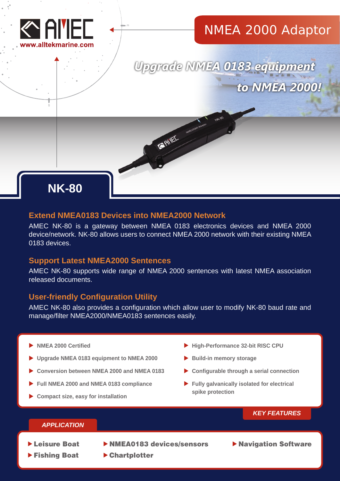

## NMEA 2000 Adaptor

Upgrade NMEA 0183 equipment to NMEA 2000!

# **NK-80**

## **Extend NMEA0183 Devices into NMEA2000 Network**

AMEC NK-80 is a gateway between NMEA 0183 electronics devices and NMEA 2000 device/network. NK-80 allows users to connect NMEA 2000 network with their existing NMEA 0183 devices.

**SAIRE** Interaction

## **Support Latest NMEA2000 Sentences**

AMEC NK-80 supports wide range of NMEA 2000 sentences with latest NMEA association released documents.

## **User-friendly Configuration Utility**

AMEC NK-80 also provides a configuration which allow user to modify NK-80 baud rate and manage/filter NMEA2000/NMEA0183 sentences easily.

- **NMEA 2000 Certified**
- **Upgrade NMEA 0183 equipment to NMEA 2000**
- **Conversion between NMEA 2000 and NMEA 0183**
- **Full NMEA 2000 and NMEA 0183 compliance**
- **Compact size, easy for installation**
- **High-Performance 32-bit RISC CPU**
- **Build-in memory storage**
- **Configurable through a serial connection**
- **Fully galvanically isolated for electrical spike protection**

## *KEY FEATURES*

## *APPLICATION*

- 
- Fishing Boat
- ▶ Leisure Boat ▶ NMEA0183 devices/sensors
- **Navigation Software**

Chartplotter